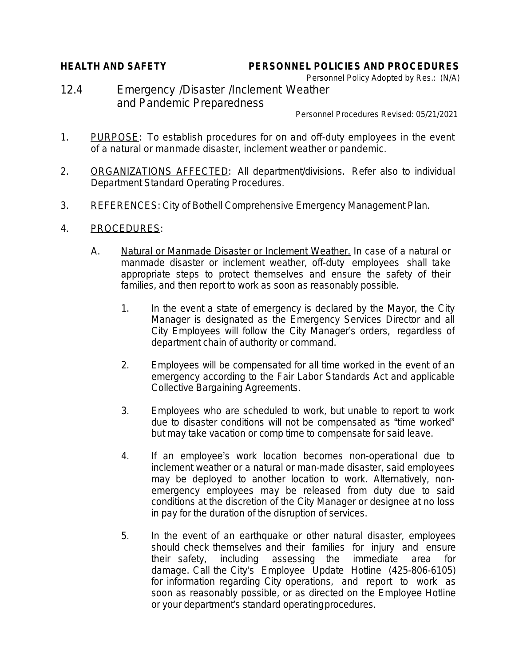## **HEALTH AND SAFETY PERSONNEL POLICIES AND PROCEDURES**

Personnel Policy Adopted by Res.: (N/A) 12.4 Emergency /Disaster /Inclement Weather and Pandemic Preparedness

Personnel Procedures Revised: 05/21/2021

- 1. PURPOSE: To establish procedures for on and off-duty employees in the event of a natural or manmade disaster, inclement weather or pandemic.
- 2. ORGANIZATIONS AFFECTED: All department/divisions. Refer also to individual Department Standard Operating Procedures.
- 3. REFERENCES: City of Bothell Comprehensive Emergency Management Plan.
- 4. PROCEDURES:
	- A. Natural or Manmade Disaster or Inclement Weather. In case of a natural or manmade disaster or inclement weather, off-duty employees shall take appropriate steps to protect themselves and ensure the safety of their families, and then report to work as soon as reasonably possible.
		- 1. In the event a state of emergency is declared by the Mayor, the City Manager is designated as the Emergency Services Director and all City Employees will follow the City Manager's orders, regardless of department chain of authority or command.
		- 2. Employees will be compensated for all time worked in the event of an emergency according to the Fair Labor Standards Act and applicable Collective Bargaining Agreements.
		- 3. Employees who are scheduled to work, but unable to report to work due to disaster conditions will not be compensated as "time worked" but may take vacation or comp time to compensate for said leave.
		- 4. If an employee's work location becomes non-operational due to inclement weather or a natural or man-made disaster, said employees may be deployed to another location to work. Alternatively, nonemergency employees may be released from duty due to said conditions at the discretion of the City Manager or designee at no loss in pay for the duration of the disruption of services.
		- 5. In the event of an earthquake or other natural disaster, employees should check themselves and their families for injury and ensure their safety, including assessing the immediate area for damage. Call the City's Employee Update Hotline (425-806-6105) for information regarding City operations, and report to work as soon as reasonably possible, or as directed on the Employee Hotline or your department's standard operatingprocedures.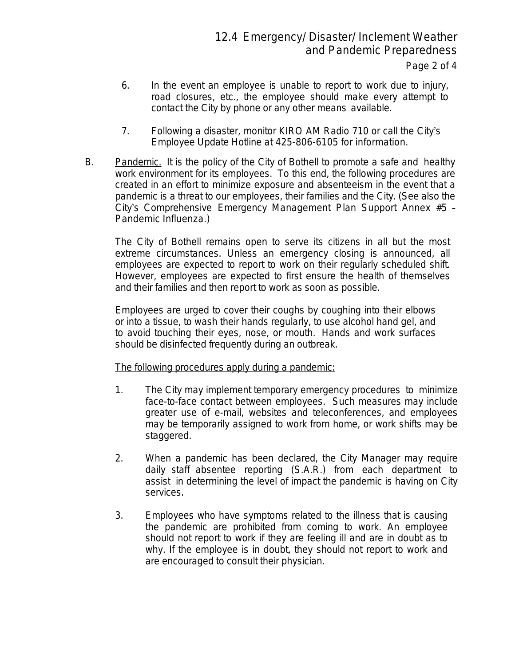- 6. In the event an employee is unable to report to work due to injury, road closures, etc., the employee should make every attempt to contact the City by phone or any other means available.
- 7. Following a disaster, monitor KIRO AM Radio 710 or call the City's Employee Update Hotline at 425-806-6105 for information.
- B. Pandemic. It is the policy of the City of Bothell to promote a safe and healthy work environment for its employees. To this end, the following procedures are created in an effort to minimize exposure and absenteeism in the event that a pandemic is a threat to our employees, their families and the City. (See also the City's Comprehensive Emergency Management Plan Support Annex #5 – Pandemic Influenza.)

The City of Bothell remains open to serve its citizens in all but the most extreme circumstances. Unless an emergency closing is announced, all employees are expected to report to work on their regularly scheduled shift. However, employees are expected to first ensure the health of themselves and their families and then report to work as soon as possible.

Employees are urged to cover their coughs by coughing into their elbows or into a tissue, to wash their hands regularly, to use alcohol hand gel, and to avoid touching their eyes, nose, or mouth. Hands and work surfaces should be disinfected frequently during an outbreak.

The following procedures apply during a pandemic:

- 1. The City may implement temporary emergency procedures to minimize face-to-face contact between employees. Such measures may include greater use of e-mail, websites and teleconferences, and employees may be temporarily assigned to work from home, or work shifts may be staggered.
- 2. When a pandemic has been declared, the City Manager may require daily staff absentee reporting (S.A.R.) from each department to assist in determining the level of impact the pandemic is having on City services.
- 3. Employees who have symptoms related to the illness that is causing the pandemic are prohibited from coming to work. An employee should not report to work if they are feeling ill and are in doubt as to why. If the employee is in doubt, they should not report to work and are encouraged to consult their physician.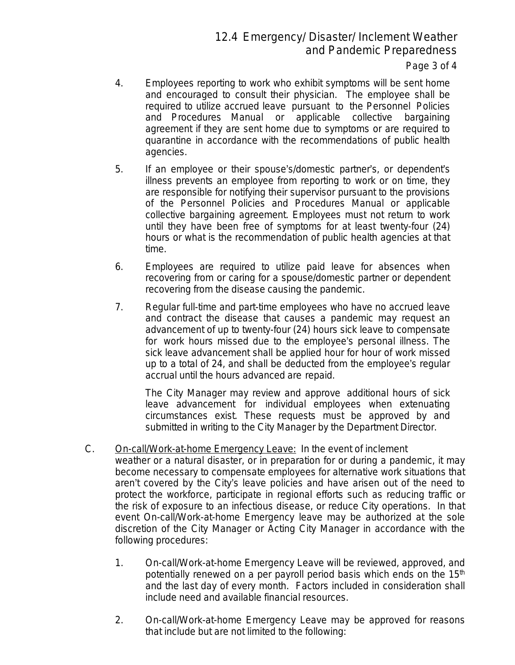12.4 Emergency/ Disaster/ Inclement Weather and Pandemic Preparedness

Page 3 of 4

- 4. Employees reporting to work who exhibit symptoms will be sent home and encouraged to consult their physician. The employee shall be required to utilize accrued leave pursuant to the Personnel Policies and Procedures Manual or applicable collective bargaining agreement if they are sent home due to symptoms or are required to quarantine in accordance with the recommendations of public health agencies.
- 5. If an employee or their spouse's/domestic partner's, or dependent's illness prevents an employee from reporting to work or on time, they are responsible for notifying their supervisor pursuant to the provisions of the Personnel Policies and Procedures Manual or applicable collective bargaining agreement. Employees must not return to work until they have been free of symptoms for at least twenty-four (24) hours or what is the recommendation of public health agencies at that time.
- 6. Employees are required to utilize paid leave for absences when recovering from or caring for a spouse/domestic partner or dependent recovering from the disease causing the pandemic.
- 7. Regular full-time and part-time employees who have no accrued leave and contract the disease that causes a pandemic may request an advancement of up to twenty-four (24) hours sick leave to compensate for work hours missed due to the employee's personal illness. The sick leave advancement shall be applied hour for hour of work missed up to a total of 24, and shall be deducted from the employee's regular accrual until the hours advanced are repaid.

The City Manager may review and approve additional hours of sick leave advancement for individual employees when extenuating circumstances exist. These requests must be approved by and submitted in writing to the City Manager by the Department Director.

- C. On-call/Work-at-home Emergency Leave: In the event of inclement weather or a natural disaster, or in preparation for or during a pandemic, it may become necessary to compensate employees for alternative work situations that aren't covered by the City's leave policies and have arisen out of the need to protect the workforce, participate in regional efforts such as reducing traffic or the risk of exposure to an infectious disease, or reduce City operations. In that event On-call/Work-at-home Emergency leave may be authorized at the sole discretion of the City Manager or Acting City Manager in accordance with the following procedures:
	- 1. On-call/Work-at-home Emergency Leave will be reviewed, approved, and potentially renewed on a per payroll period basis which ends on the 15<sup>th</sup> and the last day of every month. Factors included in consideration shall include need and available financial resources.
	- 2. On-call/Work-at-home Emergency Leave may be approved for reasons that include but are not limited to the following: